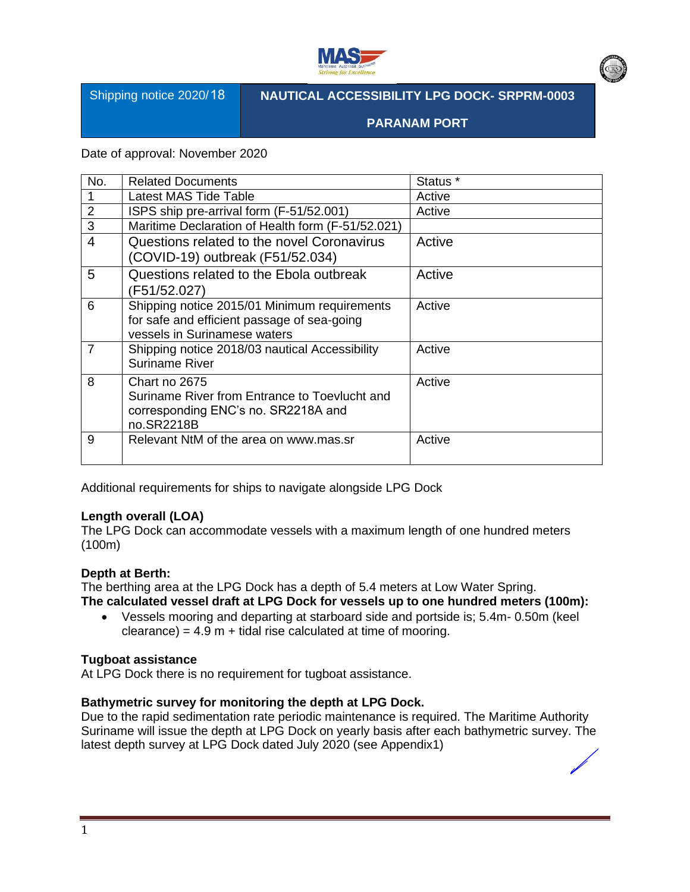

Shipping notice 2020/ 18

## **NAUTICAL ACCESSIBILITY LPG DOCK- SRPRM-0003**

**PARANAM PORT**

Date of approval: November 2020

| No.            | <b>Related Documents</b>                                                                                                    | Status <sup>*</sup> |
|----------------|-----------------------------------------------------------------------------------------------------------------------------|---------------------|
|                | Latest MAS Tide Table                                                                                                       | Active              |
| $\overline{2}$ | ISPS ship pre-arrival form (F-51/52.001)                                                                                    | Active              |
| 3              | Maritime Declaration of Health form (F-51/52.021)                                                                           |                     |
| $\overline{4}$ | Questions related to the novel Coronavirus<br>(COVID-19) outbreak (F51/52.034)                                              | Active              |
| 5              | Questions related to the Ebola outbreak<br>(F51/52.027)                                                                     | Active              |
| 6              | Shipping notice 2015/01 Minimum requirements<br>for safe and efficient passage of sea-going<br>vessels in Surinamese waters | Active              |
| $\overline{7}$ | Shipping notice 2018/03 nautical Accessibility<br><b>Suriname River</b>                                                     | Active              |
| 8              | Chart no 2675<br>Suriname River from Entrance to Toevlucht and<br>corresponding ENC's no. SR2218A and<br>no.SR2218B         | Active              |
| 9              | Relevant NtM of the area on www.mas.sr                                                                                      | Active              |

Additional requirements for ships to navigate alongside LPG Dock

### **Length overall (LOA)**

The LPG Dock can accommodate vessels with a maximum length of one hundred meters (100m)

#### **Depth at Berth:**

The berthing area at the LPG Dock has a depth of 5.4 meters at Low Water Spring. **The calculated vessel draft at LPG Dock for vessels up to one hundred meters (100m):**

• Vessels mooring and departing at starboard side and portside is; 5.4m- 0.50m (keel  $cleance) = 4.9 m + tidal rise calculated at time of moving.$ 

#### **Tugboat assistance**

At LPG Dock there is no requirement for tugboat assistance.

#### **Bathymetric survey for monitoring the depth at LPG Dock.**

Due to the rapid sedimentation rate periodic maintenance is required. The Maritime Authority Suriname will issue the depth at LPG Dock on yearly basis after each bathymetric survey. The latest depth survey at LPG Dock dated July 2020 (see Appendix1)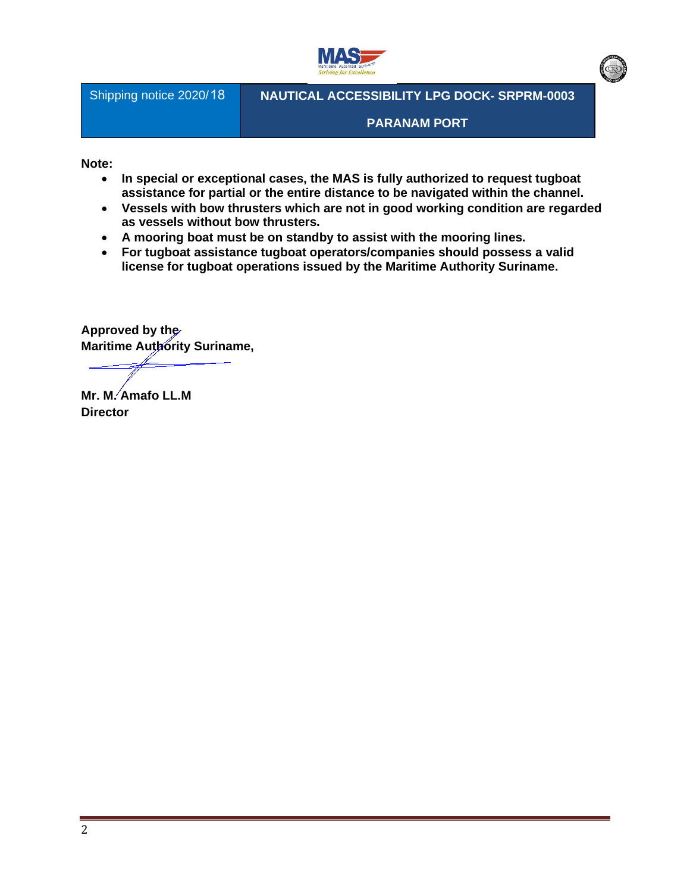

Shipping notice 2020/ 18

**NAUTICAL ACCESSIBILITY LPG DOCK- SRPRM-0003**

**PARANAM PORT**

**Note:** 

- **In special or exceptional cases, the MAS is fully authorized to request tugboat assistance for partial or the entire distance to be navigated within the channel.**
- **Vessels with bow thrusters which are not in good working condition are regarded as vessels without bow thrusters.**
- **A mooring boat must be on standby to assist with the mooring lines.**
- **For tugboat assistance tugboat operators/companies should possess a valid license for tugboat operations issued by the Maritime Authority Suriname.**

**Approved by the Maritime Authority Suriname,** 

**Mr. M. Amafo LL.M**

**Director**